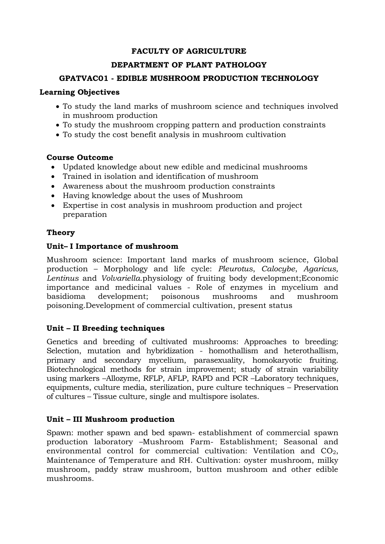### **FACULTY OF AGRICULTURE**

### **DEPARTMENT OF PLANT PATHOLOGY**

### **GPATVAC01 - EDIBLE MUSHROOM PRODUCTION TECHNOLOGY**

### **Learning Objectives**

- To study the land marks of mushroom science and techniques involved in mushroom production
- To study the mushroom cropping pattern and production constraints
- To study the cost benefit analysis in mushroom cultivation

# **Course Outcome**

- Updated knowledge about new edible and medicinal mushrooms
- Trained in isolation and identification of mushroom
- Awareness about the mushroom production constraints
- Having knowledge about the uses of Mushroom
- Expertise in cost analysis in mushroom production and project preparation

# **Theory**

# **Unit– I Importance of mushroom**

Mushroom science: Important land marks of mushroom science, Global production – Morphology and life cycle: *Pleurotus*, *Calocybe*, *Agaricus, Lentinus* and *Volvariella*.physiology of fruiting body development;Economic importance and medicinal values - Role of enzymes in mycelium and basidioma development; poisonous mushrooms and mushroom poisoning.Development of commercial cultivation, present status

# **Unit – II Breeding techniques**

Genetics and breeding of cultivated mushrooms: Approaches to breeding: Selection, mutation and hybridization - homothallism and heterothallism, primary and secondary mycelium, parasexuality, homokaryotic fruiting. Biotechnological methods for strain improvement; study of strain variability using markers –Allozyme, RFLP, AFLP, RAPD and PCR –Laboratory techniques, equipments, culture media, sterilization, pure culture techniques – Preservation of cultures – Tissue culture, single and multispore isolates.

# **Unit – III Mushroom production**

Spawn: mother spawn and bed spawn- establishment of commercial spawn production laboratory –Mushroom Farm- Establishment; Seasonal and environmental control for commercial cultivation: Ventilation and  $CO<sub>2</sub>$ , Maintenance of Temperature and RH. Cultivation: oyster mushroom, milky mushroom, paddy straw mushroom, button mushroom and other edible mushrooms.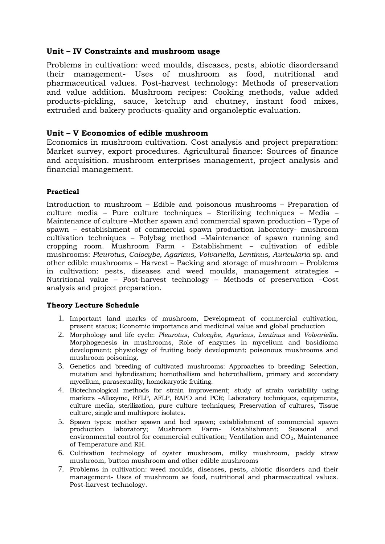### **Unit – IV Constraints and mushroom usage**

Problems in cultivation: weed moulds, diseases, pests, abiotic disordersand their management- Uses of mushroom as food, nutritional and pharmaceutical values. Post-harvest technology: Methods of preservation and value addition. Mushroom recipes: Cooking methods, value added products-pickling, sauce, ketchup and chutney, instant food mixes, extruded and bakery products-quality and organoleptic evaluation.

### **Unit – V Economics of edible mushroom**

Economics in mushroom cultivation. Cost analysis and project preparation: Market survey, export procedures. Agricultural finance: Sources of finance and acquisition. mushroom enterprises management, project analysis and financial management.

### **Practical**

Introduction to mushroom – Edible and poisonous mushrooms – Preparation of culture media – Pure culture techniques – Sterilizing techniques – Media – Maintenance of culture –Mother spawn and commercial spawn production – Type of spawn – establishment of commercial spawn production laboratory- mushroom cultivation techniques – Polybag method –Maintenance of spawn running and cropping room. Mushroom Farm - Establishment – cultivation of edible mushrooms: *Pleurotus, Calocybe, Agaricus, Volvariella, Lentinus, Auricularia* sp. and other edible mushrooms – Harvest – Packing and storage of mushroom – Problems in cultivation: pests, diseases and weed moulds, management strategies – Nutritional value – Post-harvest technology – Methods of preservation –Cost analysis and project preparation.

### **Theory Lecture Schedule**

- 1. Important land marks of mushroom, Development of commercial cultivation, present status; Economic importance and medicinal value and global production
- 2. Morphology and life cycle: *Pleurotus*, *Calocybe*, *Agaricus, Lentinus* and *Volvariella*. Morphogenesis in mushrooms, Role of enzymes in mycelium and basidioma development; physiology of fruiting body development; poisonous mushrooms and mushroom poisoning.
- 3. Genetics and breeding of cultivated mushrooms: Approaches to breeding: Selection, mutation and hybridization; homothallism and heterothallism, primary and secondary mycelium, parasexuality, homokaryotic fruiting.
- 4. Biotechnological methods for strain improvement; study of strain variability using markers –Allozyme, RFLP, AFLP, RAPD and PCR; Laboratory techniques, equipments, culture media, sterilization, pure culture techniques; Preservation of cultures, Tissue culture, single and multispore isolates.
- 5. Spawn types: mother spawn and bed spawn; establishment of commercial spawn production laboratory; Mushroom Farm- Establishment; Seasonal and environmental control for commercial cultivation; Ventilation and  $CO<sub>2</sub>$ , Maintenance of Temperature and RH.
- 6. Cultivation technology of oyster mushroom, milky mushroom, paddy straw mushroom, button mushroom and other edible mushrooms
- 7. Problems in cultivation: weed moulds, diseases, pests, abiotic disorders and their management- Uses of mushroom as food, nutritional and pharmaceutical values. Post-harvest technology.